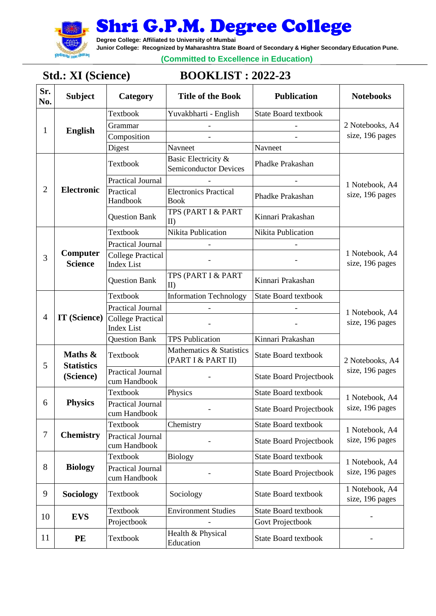

**Degree College: Affiliated to University of Mumbai**

**Junior College: Recognized by Maharashtra State Board of Secondary & Higher Secondary Education Pune.**

**(Committed to Excellence in Education)**

# **Std.: XI (Science) BOOKLIST : 2022-23**

| Sr.<br>No.     | <b>Subject</b>                            | Category                                      | <b>Title of the Book</b>                            | <b>Publication</b>             | <b>Notebooks</b>                   |
|----------------|-------------------------------------------|-----------------------------------------------|-----------------------------------------------------|--------------------------------|------------------------------------|
| 1              | <b>English</b>                            | Textbook                                      | Yuvakbharti - English                               | <b>State Board textbook</b>    | 2 Notebooks, A4<br>size, 196 pages |
|                |                                           | Grammar                                       |                                                     |                                |                                    |
|                |                                           | Composition                                   |                                                     |                                |                                    |
|                |                                           | Digest                                        | Navneet                                             | Navneet                        |                                    |
|                | <b>Electronic</b>                         | Textbook                                      | Basic Electricity &<br><b>Semiconductor Devices</b> | Phadke Prakashan               | 1 Notebook, A4<br>size, 196 pages  |
|                |                                           | <b>Practical Journal</b>                      |                                                     |                                |                                    |
| $\overline{2}$ |                                           | Practical<br>Handbook                         | <b>Electronics Practical</b><br><b>Book</b>         | Phadke Prakashan               |                                    |
|                |                                           | <b>Question Bank</b>                          | TPS (PART I & PART<br>$\rm II$                      | Kinnari Prakashan              |                                    |
|                |                                           | Textbook                                      | Nikita Publication                                  | Nikita Publication             |                                    |
|                |                                           | <b>Practical Journal</b>                      |                                                     |                                |                                    |
| 3              | Computer<br><b>Science</b>                | <b>College Practical</b><br><b>Index List</b> |                                                     |                                | 1 Notebook, A4<br>size, 196 pages  |
|                |                                           | <b>Question Bank</b>                          | TPS (PART I & PART<br>II                            | Kinnari Prakashan              |                                    |
|                |                                           | Textbook                                      | <b>Information Technology</b>                       | <b>State Board textbook</b>    | 1 Notebook, A4<br>size, 196 pages  |
|                | IT (Science)                              | <b>Practical Journal</b>                      |                                                     |                                |                                    |
| 4              |                                           | <b>College Practical</b><br><b>Index List</b> |                                                     |                                |                                    |
|                |                                           | <b>Question Bank</b>                          | <b>TPS Publication</b>                              | Kinnari Prakashan              |                                    |
| 5              | Maths &<br><b>Statistics</b><br>(Science) | Textbook                                      | Mathematics & Statistics<br>(PART I & PART II)      | <b>State Board textbook</b>    | 2 Notebooks, A4                    |
|                |                                           | <b>Practical Journal</b><br>cum Handbook      |                                                     | <b>State Board Projectbook</b> | size, 196 pages                    |
|                |                                           | Textbook                                      | Physics                                             | <b>State Board textbook</b>    | 1 Notebook, A4<br>size, 196 pages  |
| 6              | <b>Physics</b>                            | <b>Practical Journal</b><br>cum Handbook      |                                                     | <b>State Board Projectbook</b> |                                    |
| $\tau$         | <b>Chemistry</b>                          | Textbook                                      | Chemistry                                           | <b>State Board textbook</b>    | 1 Notebook, A4                     |
|                |                                           | <b>Practical Journal</b><br>cum Handbook      |                                                     | <b>State Board Projectbook</b> | size, 196 pages                    |
| 8              | <b>Biology</b>                            | Textbook                                      | <b>Biology</b>                                      | <b>State Board textbook</b>    | 1 Notebook, A4<br>size, 196 pages  |
|                |                                           | <b>Practical Journal</b><br>cum Handbook      |                                                     | <b>State Board Projectbook</b> |                                    |
| 9              | Sociology                                 | Textbook                                      | Sociology                                           | <b>State Board textbook</b>    | 1 Notebook, A4<br>size, 196 pages  |
|                | <b>EVS</b>                                | Textbook                                      | <b>Environment Studies</b>                          | <b>State Board textbook</b>    |                                    |
| 10             |                                           | Projectbook                                   |                                                     | Govt Projectbook               |                                    |
| 11             | PE                                        | Textbook                                      | Health & Physical<br>Education                      | <b>State Board textbook</b>    |                                    |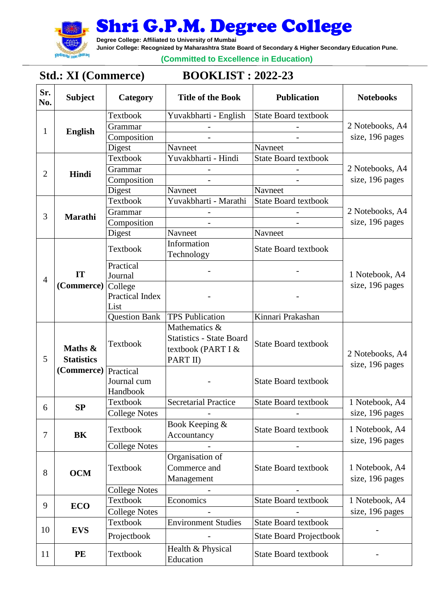

**Degree College: Affiliated to University of Mumbai** 

**Junior College: Recognized by Maharashtra State Board of Secondary & Higher Secondary Education Pune.** 

**(Committed to Excellence in Education)**

## **Std.: XI (Commerce) BOOKLIST : 2022-23**

| Sr.<br>No.     | <b>Subject</b>               | Category                | <b>Title of the Book</b>                                          | <b>Publication</b>             | <b>Notebooks</b>                   |
|----------------|------------------------------|-------------------------|-------------------------------------------------------------------|--------------------------------|------------------------------------|
|                | <b>English</b>               | Textbook                | Yuvakbharti - English                                             | <b>State Board textbook</b>    | 2 Notebooks, A4<br>size, 196 pages |
|                |                              | Grammar                 |                                                                   |                                |                                    |
| $\mathbf{1}$   |                              | Composition             |                                                                   |                                |                                    |
|                |                              | Digest                  | Navneet                                                           | Navneet                        |                                    |
|                |                              | Textbook                | Yuvakbharti - Hindi                                               | <b>State Board textbook</b>    | 2 Notebooks, A4<br>size, 196 pages |
| $\overline{2}$ | Hindi                        | Grammar                 |                                                                   |                                |                                    |
|                |                              | Composition             |                                                                   |                                |                                    |
|                |                              | Digest                  | Navneet                                                           | Navneet                        |                                    |
|                |                              | Textbook                | Yuvakbharti - Marathi                                             | <b>State Board textbook</b>    | 2 Notebooks, A4<br>size, 196 pages |
| 3              |                              | Grammar                 |                                                                   |                                |                                    |
|                | <b>Marathi</b>               | Composition             |                                                                   |                                |                                    |
|                |                              | Digest                  | Navneet                                                           | Navneet                        |                                    |
|                | IT                           | Textbook                | Information<br>Technology                                         | <b>State Board textbook</b>    | 1 Notebook, A4                     |
|                |                              | Practical<br>Journal    |                                                                   |                                |                                    |
| $\overline{4}$ | (Commerce)                   | College                 |                                                                   |                                | size, 196 pages                    |
|                |                              | Practical Index<br>List |                                                                   |                                |                                    |
|                |                              | <b>Question Bank</b>    | <b>TPS Publication</b>                                            | Kinnari Prakashan              |                                    |
| 5              | Maths &<br><b>Statistics</b> |                         | Mathematics &                                                     |                                | 2 Notebooks, A4                    |
|                |                              | Textbook                | <b>Statistics - State Board</b><br>textbook (PART I &<br>PART II) | <b>State Board textbook</b>    |                                    |
|                | (Commerce)                   | Practical               |                                                                   |                                | size, 196 pages                    |
|                |                              | Journal cum<br>Handbook |                                                                   | <b>State Board textbook</b>    |                                    |
| 6              | SP                           | Textbook                | Secretarial Practice                                              | <b>State Board textbook</b>    | 1 Notebook, A4                     |
|                |                              | <b>College Notes</b>    |                                                                   |                                | size, 196 pages                    |
| 7              | <b>BK</b>                    | Textbook                | Book Keeping &<br>Accountancy                                     | <b>State Board textbook</b>    | 1 Notebook, A4<br>size, 196 pages  |
|                |                              | <b>College Notes</b>    |                                                                   |                                |                                    |
| 8              | <b>OCM</b>                   | Textbook                | Organisation of<br>Commerce and<br>Management                     | <b>State Board textbook</b>    | 1 Notebook, A4<br>size, 196 pages  |
|                |                              | <b>College Notes</b>    |                                                                   |                                |                                    |
| 9              | <b>ECO</b>                   | <b>Textbook</b>         | Economics                                                         | <b>State Board textbook</b>    | 1 Notebook, A4                     |
|                |                              | <b>College Notes</b>    |                                                                   |                                | size, 196 pages                    |
|                | <b>EVS</b>                   | Textbook                | <b>Environment Studies</b>                                        | <b>State Board textbook</b>    |                                    |
| 10             |                              | Projectbook             |                                                                   | <b>State Board Projectbook</b> |                                    |
| 11             | PE                           | Textbook                | Health & Physical<br>Education                                    | <b>State Board textbook</b>    |                                    |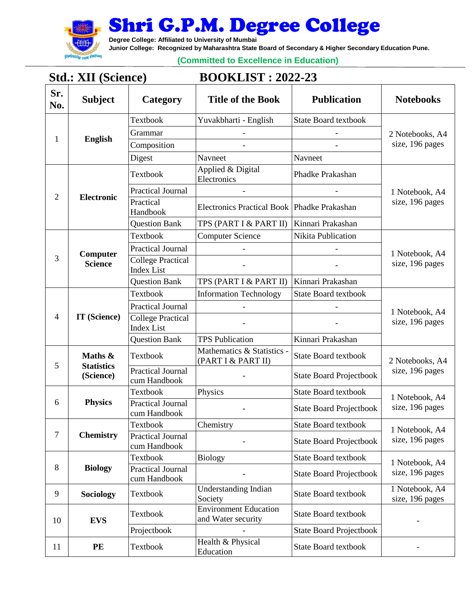

**Degree College: Affiliated to University of Mumbai**

**Junior College: Recognized by Maharashtra State Board of Secondary & Higher Secondary Education Pune.**

**(Committed to Excellence in Education)**

### **Std.: XII (Science) BOOKLIST : 2022-23**

| Sr.<br>No.     | <b>Subject</b>                            | Category                                      | <b>Title of the Book</b>                           | <b>Publication</b>             | <b>Notebooks</b>                   |
|----------------|-------------------------------------------|-----------------------------------------------|----------------------------------------------------|--------------------------------|------------------------------------|
| 1              | <b>English</b>                            | Textbook                                      | Yuvakbharti - English                              | <b>State Board textbook</b>    | 2 Notebooks, A4<br>size, 196 pages |
|                |                                           | Grammar                                       |                                                    |                                |                                    |
|                |                                           | Composition                                   |                                                    |                                |                                    |
|                |                                           | Digest                                        | Navneet                                            | Navneet                        |                                    |
|                | Electronic                                | Textbook                                      | Applied & Digital<br>Electronics                   | Phadke Prakashan               | 1 Notebook, A4<br>size, 196 pages  |
| $\overline{2}$ |                                           | <b>Practical Journal</b>                      |                                                    |                                |                                    |
|                |                                           | Practical<br>Handbook                         | Electronics Practical Book   Phadke Prakashan      |                                |                                    |
|                |                                           | <b>Question Bank</b>                          | TPS (PART I & PART II)                             | Kinnari Prakashan              |                                    |
|                |                                           | Textbook                                      | <b>Computer Science</b>                            | Nikita Publication             |                                    |
|                | Computer                                  | <b>Practical Journal</b>                      |                                                    |                                | 1 Notebook, A4                     |
| 3              | <b>Science</b>                            | <b>College Practical</b><br><b>Index List</b> |                                                    |                                | size, 196 pages                    |
|                |                                           | <b>Question Bank</b>                          | TPS (PART I & PART II)                             | Kinnari Prakashan              |                                    |
|                |                                           | Textbook                                      | <b>Information Technology</b>                      | <b>State Board textbook</b>    | 1 Notebook, A4<br>size, 196 pages  |
|                | IT (Science)                              | <b>Practical Journal</b>                      |                                                    |                                |                                    |
| 4              |                                           | <b>College Practical</b><br><b>Index List</b> |                                                    |                                |                                    |
|                |                                           | <b>Question Bank</b>                          | <b>TPS Publication</b>                             | Kinnari Prakashan              |                                    |
| 5              | Maths &<br><b>Statistics</b><br>(Science) | Textbook                                      | Mathematics & Statistics -<br>(PART I & PART II)   | <b>State Board textbook</b>    | 2 Notebooks, A4<br>size, 196 pages |
|                |                                           | <b>Practical Journal</b><br>cum Handbook      |                                                    | <b>State Board Projectbook</b> |                                    |
|                | <b>Physics</b>                            | Textbook                                      | Physics                                            | <b>State Board textbook</b>    | 1 Notebook, A4                     |
| 6              |                                           | <b>Practical Journal</b><br>cum Handbook      |                                                    | <b>State Board Projectbook</b> | size, 196 pages                    |
|                | <b>Chemistry</b>                          | Textbook                                      | Chemistry                                          | <b>State Board textbook</b>    | 1 Notebook, A4<br>size, 196 pages  |
| 7              |                                           | <b>Practical Journal</b><br>cum Handbook      |                                                    | <b>State Board Projectbook</b> |                                    |
|                | <b>Biology</b>                            | Textbook                                      | <b>Biology</b>                                     | <b>State Board textbook</b>    | 1 Notebook, A4<br>size, 196 pages  |
| 8              |                                           | <b>Practical Journal</b><br>cum Handbook      |                                                    | <b>State Board Projectbook</b> |                                    |
| 9              | Sociology                                 | Textbook                                      | <b>Understanding Indian</b><br>Society             | <b>State Board textbook</b>    | 1 Notebook, A4<br>size, 196 pages  |
| 10             | <b>EVS</b>                                | Textbook                                      | <b>Environment Education</b><br>and Water security | <b>State Board textbook</b>    |                                    |
|                |                                           | Projectbook                                   |                                                    | <b>State Board Projectbook</b> |                                    |
| 11             | PE                                        | Textbook                                      | Health & Physical<br>Education                     | <b>State Board textbook</b>    |                                    |